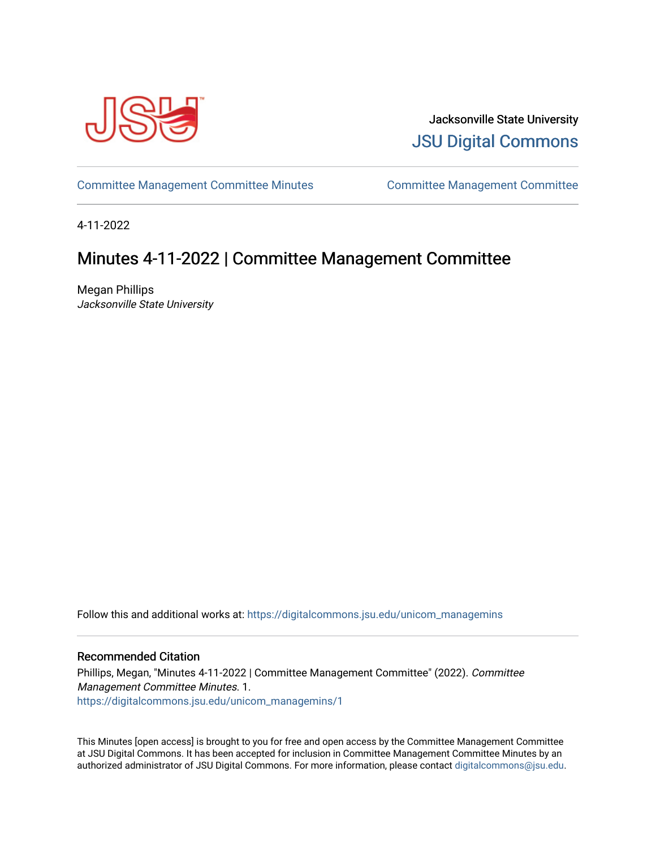

Jacksonville State University [JSU Digital Commons](https://digitalcommons.jsu.edu/) 

[Committee Management Committee Minutes](https://digitalcommons.jsu.edu/unicom_managemins) [Committee Management Committee](https://digitalcommons.jsu.edu/unicom_manage) 

4-11-2022

## Minutes 4-11-2022 | Committee Management Committee

Megan Phillips Jacksonville State University

Follow this and additional works at: [https://digitalcommons.jsu.edu/unicom\\_managemins](https://digitalcommons.jsu.edu/unicom_managemins?utm_source=digitalcommons.jsu.edu%2Funicom_managemins%2F1&utm_medium=PDF&utm_campaign=PDFCoverPages) 

## Recommended Citation

Phillips, Megan, "Minutes 4-11-2022 | Committee Management Committee" (2022). Committee Management Committee Minutes. 1. [https://digitalcommons.jsu.edu/unicom\\_managemins/1](https://digitalcommons.jsu.edu/unicom_managemins/1?utm_source=digitalcommons.jsu.edu%2Funicom_managemins%2F1&utm_medium=PDF&utm_campaign=PDFCoverPages) 

This Minutes [open access] is brought to you for free and open access by the Committee Management Committee at JSU Digital Commons. It has been accepted for inclusion in Committee Management Committee Minutes by an authorized administrator of JSU Digital Commons. For more information, please contact [digitalcommons@jsu.edu.](mailto:digitalcommons@jsu.edu)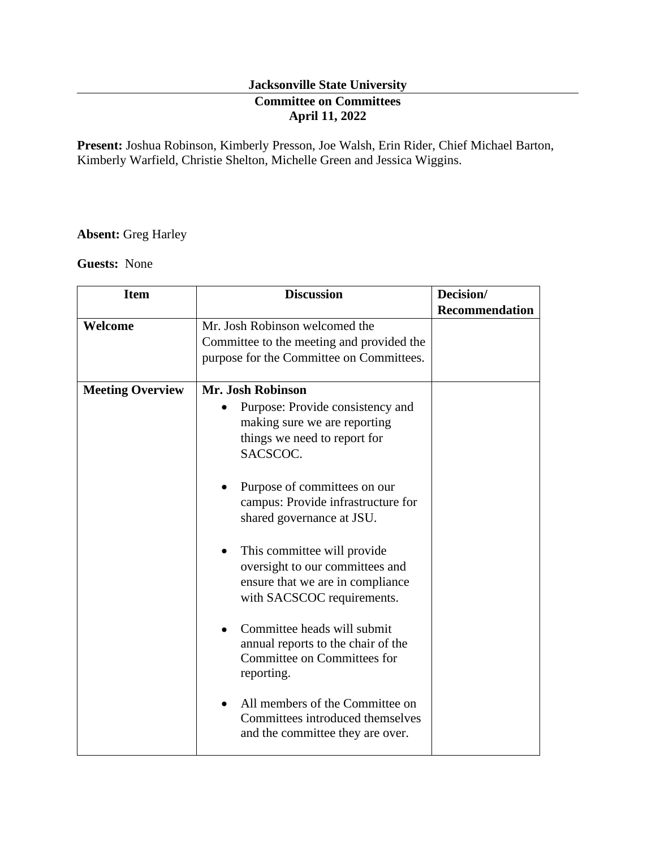## **Jacksonville State University Committee on Committees April 11, 2022**

**Present:** Joshua Robinson, Kimberly Presson, Joe Walsh, Erin Rider, Chief Michael Barton, Kimberly Warfield, Christie Shelton, Michelle Green and Jessica Wiggins.

## **Absent:** Greg Harley

**Guests:** None

| <b>Item</b>             | <b>Discussion</b>                                                                                                                             | Decision/             |
|-------------------------|-----------------------------------------------------------------------------------------------------------------------------------------------|-----------------------|
|                         |                                                                                                                                               | <b>Recommendation</b> |
| Welcome                 | Mr. Josh Robinson welcomed the                                                                                                                |                       |
|                         | Committee to the meeting and provided the                                                                                                     |                       |
|                         | purpose for the Committee on Committees.                                                                                                      |                       |
| <b>Meeting Overview</b> | Mr. Josh Robinson                                                                                                                             |                       |
|                         | Purpose: Provide consistency and                                                                                                              |                       |
|                         | making sure we are reporting                                                                                                                  |                       |
|                         | things we need to report for                                                                                                                  |                       |
|                         | SACSCOC.                                                                                                                                      |                       |
|                         | Purpose of committees on our<br>campus: Provide infrastructure for<br>shared governance at JSU.                                               |                       |
|                         | This committee will provide<br>$\bullet$<br>oversight to our committees and<br>ensure that we are in compliance<br>with SACSCOC requirements. |                       |
|                         | Committee heads will submit<br>annual reports to the chair of the<br>Committee on Committees for<br>reporting.                                |                       |
|                         | All members of the Committee on<br>Committees introduced themselves<br>and the committee they are over.                                       |                       |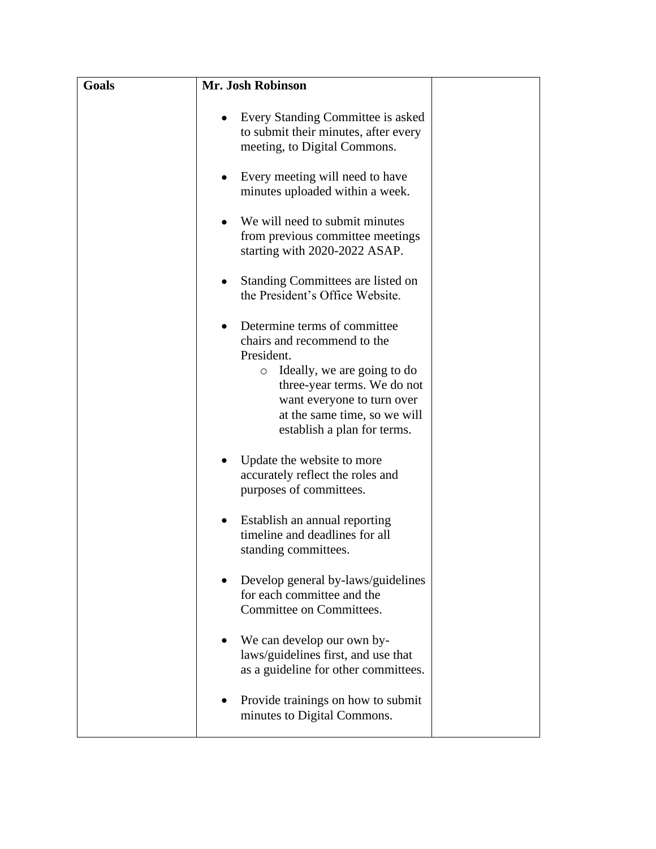| Goals | Mr. Josh Robinson                                                                                                                                                                                                                                |  |
|-------|--------------------------------------------------------------------------------------------------------------------------------------------------------------------------------------------------------------------------------------------------|--|
|       | Every Standing Committee is asked<br>$\bullet$<br>to submit their minutes, after every<br>meeting, to Digital Commons.                                                                                                                           |  |
|       | Every meeting will need to have<br>$\bullet$<br>minutes uploaded within a week.                                                                                                                                                                  |  |
|       | We will need to submit minutes<br>from previous committee meetings<br>starting with 2020-2022 ASAP.                                                                                                                                              |  |
|       | Standing Committees are listed on<br>the President's Office Website.                                                                                                                                                                             |  |
|       | Determine terms of committee.<br>chairs and recommend to the<br>President.<br>Ideally, we are going to do<br>$\circ$<br>three-year terms. We do not<br>want everyone to turn over<br>at the same time, so we will<br>establish a plan for terms. |  |
|       | Update the website to more<br>accurately reflect the roles and<br>purposes of committees.                                                                                                                                                        |  |
|       | Establish an annual reporting<br>$\bullet$<br>timeline and deadlines for all<br>standing committees.                                                                                                                                             |  |
|       | Develop general by-laws/guidelines<br>for each committee and the<br>Committee on Committees.                                                                                                                                                     |  |
|       | We can develop our own by-<br>laws/guidelines first, and use that<br>as a guideline for other committees.                                                                                                                                        |  |
|       | Provide trainings on how to submit<br>minutes to Digital Commons.                                                                                                                                                                                |  |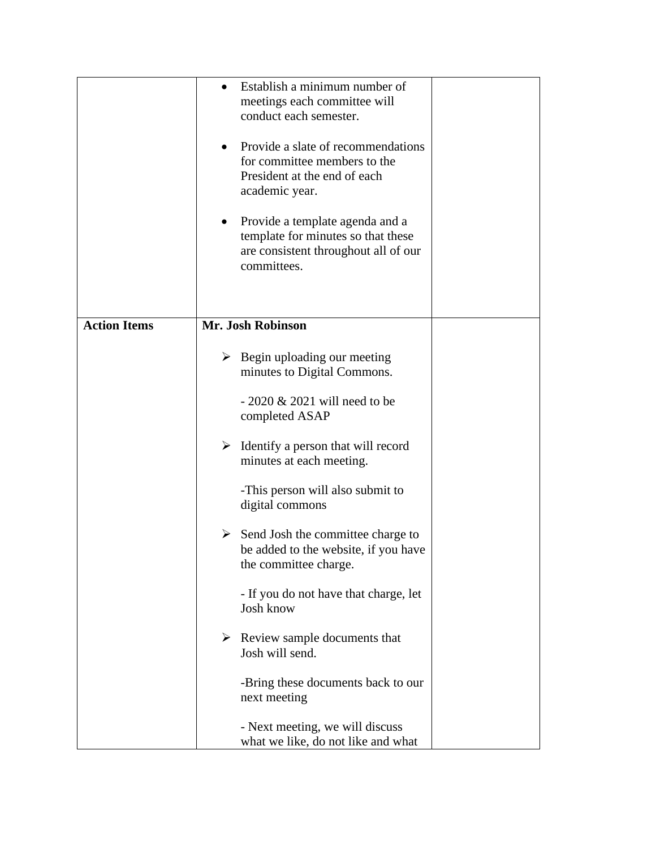|                     | Establish a minimum number of<br>$\bullet$<br>meetings each committee will<br>conduct each semester.<br>Provide a slate of recommendations<br>$\bullet$<br>for committee members to the<br>President at the end of each<br>academic year.<br>Provide a template agenda and a<br>$\bullet$<br>template for minutes so that these<br>are consistent throughout all of our<br>committees. |
|---------------------|----------------------------------------------------------------------------------------------------------------------------------------------------------------------------------------------------------------------------------------------------------------------------------------------------------------------------------------------------------------------------------------|
| <b>Action Items</b> | Mr. Josh Robinson                                                                                                                                                                                                                                                                                                                                                                      |
|                     | $\triangleright$ Begin uploading our meeting<br>minutes to Digital Commons.<br>$-2020 \& 2021$ will need to be                                                                                                                                                                                                                                                                         |
|                     | completed ASAP                                                                                                                                                                                                                                                                                                                                                                         |
|                     | $\triangleright$ Identify a person that will record<br>minutes at each meeting.                                                                                                                                                                                                                                                                                                        |
|                     | -This person will also submit to<br>digital commons                                                                                                                                                                                                                                                                                                                                    |
|                     | ➤<br>Send Josh the committee charge to<br>be added to the website, if you have<br>the committee charge.                                                                                                                                                                                                                                                                                |
|                     | - If you do not have that charge, let<br>Josh know                                                                                                                                                                                                                                                                                                                                     |
|                     | $\triangleright$ Review sample documents that<br>Josh will send.                                                                                                                                                                                                                                                                                                                       |
|                     | -Bring these documents back to our<br>next meeting                                                                                                                                                                                                                                                                                                                                     |
|                     | - Next meeting, we will discuss<br>what we like, do not like and what                                                                                                                                                                                                                                                                                                                  |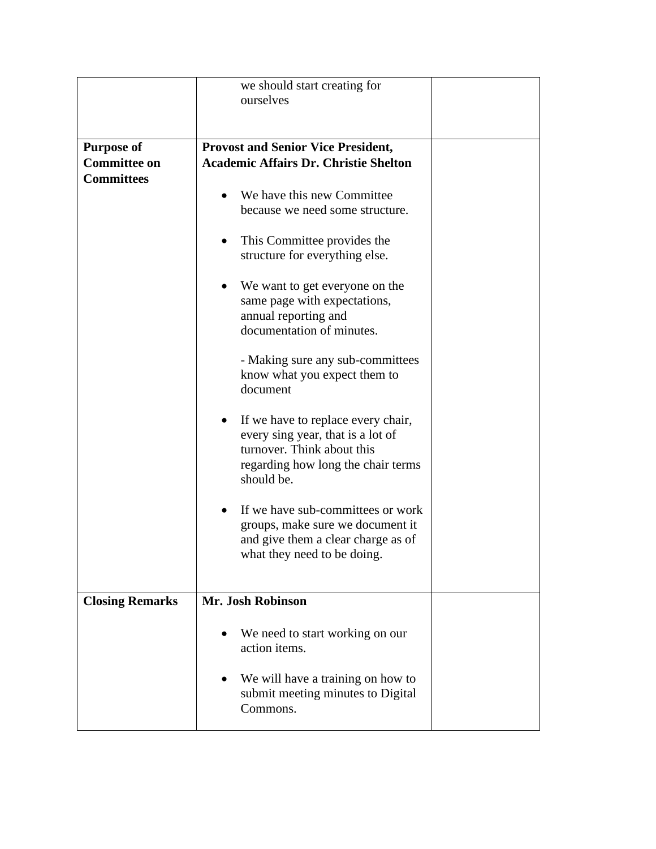|                        | we should start creating for<br>ourselves                                                                                                                |
|------------------------|----------------------------------------------------------------------------------------------------------------------------------------------------------|
| <b>Purpose of</b>      | <b>Provost and Senior Vice President,</b>                                                                                                                |
| <b>Committee on</b>    | <b>Academic Affairs Dr. Christie Shelton</b>                                                                                                             |
| <b>Committees</b>      |                                                                                                                                                          |
|                        | We have this new Committee                                                                                                                               |
|                        | because we need some structure.                                                                                                                          |
|                        | This Committee provides the<br>structure for everything else.                                                                                            |
|                        | We want to get everyone on the                                                                                                                           |
|                        | same page with expectations,                                                                                                                             |
|                        | annual reporting and<br>documentation of minutes.                                                                                                        |
|                        | - Making sure any sub-committees                                                                                                                         |
|                        | know what you expect them to                                                                                                                             |
|                        | document                                                                                                                                                 |
|                        | If we have to replace every chair,<br>$\bullet$<br>every sing year, that is a lot of<br>turnover. Think about this<br>regarding how long the chair terms |
|                        | should be.                                                                                                                                               |
|                        | If we have sub-committees or work<br>groups, make sure we document it<br>and give them a clear charge as of<br>what they need to be doing.               |
| <b>Closing Remarks</b> | Mr. Josh Robinson                                                                                                                                        |
|                        | We need to start working on our<br>action items.                                                                                                         |
|                        | We will have a training on how to<br>submit meeting minutes to Digital<br>Commons.                                                                       |